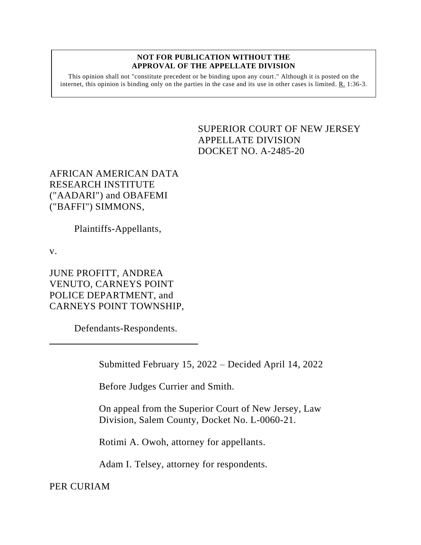## **NOT FOR PUBLICATION WITHOUT THE APPROVAL OF THE APPELLATE DIVISION**

This opinion shall not "constitute precedent or be binding upon any court." Although it is posted on the internet, this opinion is binding only on the parties in the case and its use in other cases is limited. R. 1:36-3.

> <span id="page-0-0"></span>SUPERIOR COURT OF NEW JERSEY APPELLATE DIVISION DOCKET NO. A-2485-20

AFRICAN AMERICAN DATA RESEARCH INSTITUTE ("AADARI") and OBAFEMI ("BAFFI") SIMMONS,

Plaintiffs-Appellants,

v.

JUNE PROFITT, ANDREA VENUTO, CARNEYS POINT POLICE DEPARTMENT, and CARNEYS POINT TOWNSHIP,

Defendants-Respondents.

Submitted February 15, 2022 – Decided April 14, 2022

Before Judges Currier and Smith.

On appeal from the Superior Court of New Jersey, Law Division, Salem County, Docket No. L-0060-21.

Rotimi A. Owoh, attorney for appellants.

Adam I. Telsey, attorney for respondents.

PER CURIAM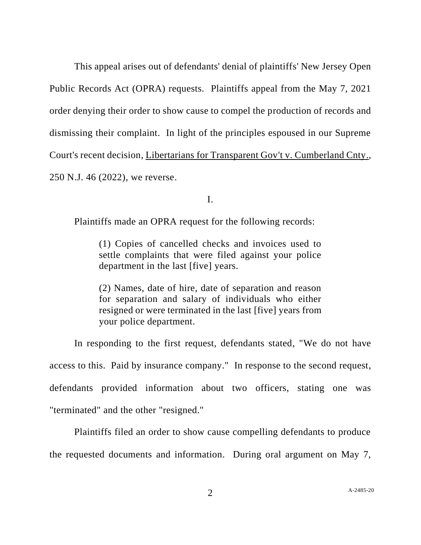This appeal arises out of defendants' denial of plaintiffs' New Jersey Open Public Records Act (OPRA) requests. Plaintiffs appeal from the May 7, 2021 order denying their order to show cause to compel the production of records and dismissing their complaint. In light of the principles espoused in our Supreme Court's recent decision, Libertarians for Transparent Gov't v. Cumberland Cnty., 250 N.J. 46 (2022), we reverse.

I.

Plaintiffs made an OPRA request for the following records:

(1) Copies of cancelled checks and invoices used to settle complaints that were filed against your police department in the last [five] years.

(2) Names, date of hire, date of separation and reason for separation and salary of individuals who either resigned or were terminated in the last [five] years from your police department.

In responding to the first request, defendants stated, "We do not have access to this. Paid by insurance company." In response to the second request, defendants provided information about two officers, stating one was "terminated" and the other "resigned."

Plaintiffs filed an order to show cause compelling defendants to produce the requested documents and information. During oral argument on May 7,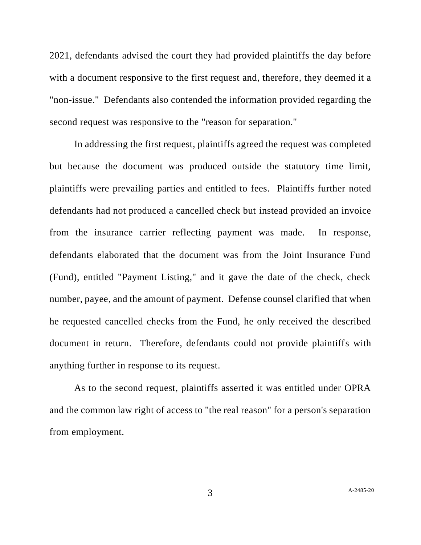2021, defendants advised the court they had provided plaintiffs the day before with a document responsive to the first request and, therefore, they deemed it a "non-issue." Defendants also contended the information provided regarding the second request was responsive to the "reason for separation."

In addressing the first request, plaintiffs agreed the request was completed but because the document was produced outside the statutory time limit, plaintiffs were prevailing parties and entitled to fees. Plaintiffs further noted defendants had not produced a cancelled check but instead provided an invoice from the insurance carrier reflecting payment was made. In response, defendants elaborated that the document was from the Joint Insurance Fund (Fund), entitled "Payment Listing," and it gave the date of the check, check number, payee, and the amount of payment. Defense counsel clarified that when he requested cancelled checks from the Fund, he only received the described document in return. Therefore, defendants could not provide plaintiffs with anything further in response to its request.

As to the second request, plaintiffs asserted it was entitled under OPRA and the common law right of access to "the real reason" for a person's separation from employment.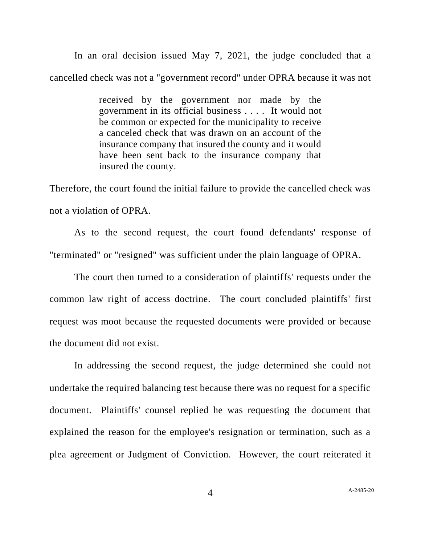In an oral decision issued May 7, 2021, the judge concluded that a cancelled check was not a "government record" under OPRA because it was not

> received by the government nor made by the government in its official business . . . . It would not be common or expected for the municipality to receive a canceled check that was drawn on an account of the insurance company that insured the county and it would have been sent back to the insurance company that insured the county.

Therefore, the court found the initial failure to provide the cancelled check was not a violation of OPRA.

As to the second request, the court found defendants' response of "terminated" or "resigned" was sufficient under the plain language of OPRA.

The court then turned to a consideration of plaintiffs' requests under the common law right of access doctrine. The court concluded plaintiffs' first request was moot because the requested documents were provided or because the document did not exist.

In addressing the second request, the judge determined she could not undertake the required balancing test because there was no request for a specific document. Plaintiffs' counsel replied he was requesting the document that explained the reason for the employee's resignation or termination, such as a plea agreement or Judgment of Conviction. However, the court reiterated it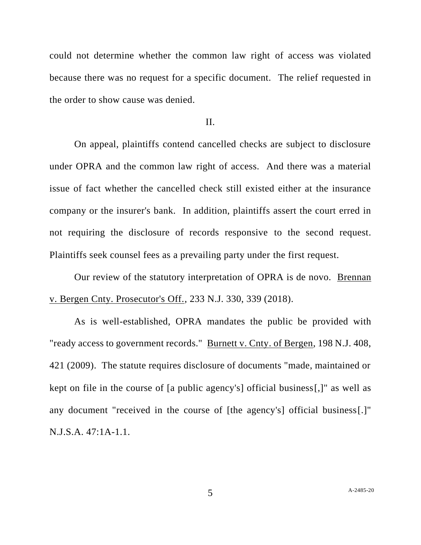could not determine whether the common law right of access was violated because there was no request for a specific document. The relief requested in the order to show cause was denied.

## II.

On appeal, plaintiffs contend cancelled checks are subject to disclosure under OPRA and the common law right of access. And there was a material issue of fact whether the cancelled check still existed either at the insurance company or the insurer's bank. In addition, plaintiffs assert the court erred in not requiring the disclosure of records responsive to the second request. Plaintiffs seek counsel fees as a prevailing party under the first request.

Our review of the statutory interpretation of OPRA is de novo. Brennan v. Bergen Cnty. Prosecutor's Off., 233 N.J. 330, 339 (2018).

As is well-established, OPRA mandates the public be provided with "ready access to government records." Burnett v. Cnty. of Bergen, 198 N.J. 408, 421 (2009). The statute requires disclosure of documents "made, maintained or kept on file in the course of [a public agency's] official business[,]" as well as any document "received in the course of [the agency's] official business[.]" N.J.S.A. 47:1A-1.1.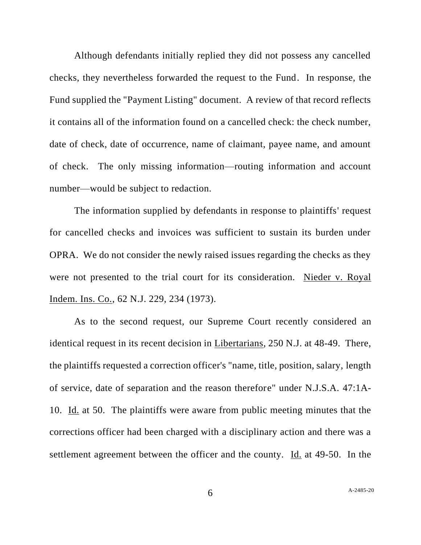Although defendants initially replied they did not possess any cancelled checks, they nevertheless forwarded the request to the Fund. In response, the Fund supplied the "Payment Listing" document. A review of that record reflects it contains all of the information found on a cancelled check: the check number, date of check, date of occurrence, name of claimant, payee name, and amount of check. The only missing information—routing information and account number—would be subject to redaction.

The information supplied by defendants in response to plaintiffs' request for cancelled checks and invoices was sufficient to sustain its burden under OPRA. We do not consider the newly raised issues regarding the checks as they were not presented to the trial court for its consideration. Nieder v. Royal Indem. Ins. Co., 62 N.J. 229, 234 (1973).

As to the second request, our Supreme Court recently considered an identical request in its recent decision in Libertarians, 250 N.J. at 48-49. There, the plaintiffs requested a correction officer's "name, title, position, salary, length of service, date of separation and the reason therefore" under N.J.S.A. 47:1A-10. Id. at 50. The plaintiffs were aware from public meeting minutes that the corrections officer had been charged with a disciplinary action and there was a settlement agreement between the officer and the county. Id. at 49-50. In the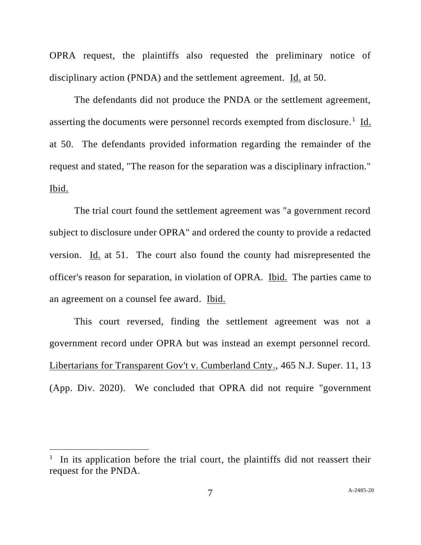OPRA request, the plaintiffs also requested the preliminary notice of disciplinary action (PNDA) and the settlement agreement. Id. at 50.

The defendants did not produce the PNDA or the settlement agreement, asserting the documents were personnel records exempted from disclosure.<sup>1</sup> Id. at 50. The defendants provided information regarding the remainder of the request and stated, "The reason for the separation was a disciplinary infraction." Ibid.

The trial court found the settlement agreement was "a government record subject to disclosure under OPRA" and ordered the county to provide a redacted version. Id. at 51. The court also found the county had misrepresented the officer's reason for separation, in violation of OPRA. Ibid. The parties came to an agreement on a counsel fee award. Ibid.

This court reversed, finding the settlement agreement was not a government record under OPRA but was instead an exempt personnel record. Libertarians for Transparent Gov't v. Cumberland Cnty., 465 N.J. Super. 11, 13 (App. Div. 2020). We concluded that OPRA did not require "government

<sup>&</sup>lt;sup>1</sup> In its application before the trial court, the plaintiffs did not reassert their request for the PNDA.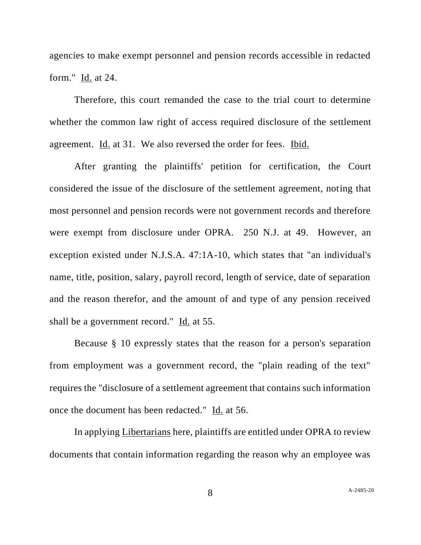agencies to make exempt personnel and pension records accessible in redacted form." Id. at 24.

Therefore, this court remanded the case to the trial court to determine whether the common law right of access required disclosure of the settlement agreement. Id. at 31. We also reversed the order for fees. Ibid.

After granting the plaintiffs' petition for certification, the Court considered the issue of the disclosure of the settlement agreement, noting that most personnel and pension records were not government records and therefore were exempt from disclosure under OPRA. 250 N.J. at 49. However, an exception existed under N.J.S.A. 47:1A-10, which states that "an individual's name, title, position, salary, payroll record, length of service, date of separation and the reason therefor, and the amount of and type of any pension received shall be a government record." Id. at 55.

Because § 10 expressly states that the reason for a person's separation from employment was a government record, the "plain reading of the text" requires the "disclosure of a settlement agreement that contains such information once the document has been redacted." Id. at 56.

In applying Libertarians here, plaintiffs are entitled under OPRA to review documents that contain information regarding the reason why an employee was